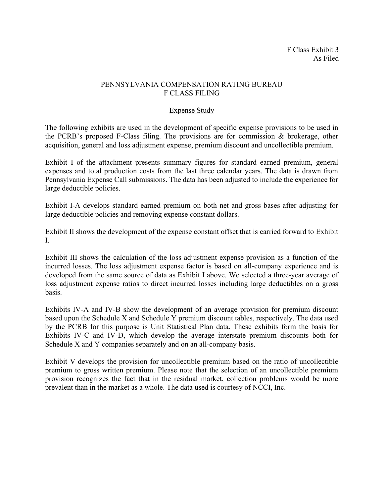# PENNSYLVANIA COMPENSATION RATING BUREAU F CLASS FILING

# Expense Study

The following exhibits are used in the development of specific expense provisions to be used in the PCRB's proposed F-Class filing. The provisions are for commission & brokerage, other acquisition, general and loss adjustment expense, premium discount and uncollectible premium.

Exhibit I of the attachment presents summary figures for standard earned premium, general expenses and total production costs from the last three calendar years. The data is drawn from Pennsylvania Expense Call submissions. The data has been adjusted to include the experience for large deductible policies.

Exhibit I-A develops standard earned premium on both net and gross bases after adjusting for large deductible policies and removing expense constant dollars.

Exhibit II shows the development of the expense constant offset that is carried forward to Exhibit I.

Exhibit III shows the calculation of the loss adjustment expense provision as a function of the incurred losses. The loss adjustment expense factor is based on all-company experience and is developed from the same source of data as Exhibit I above. We selected a three-year average of loss adjustment expense ratios to direct incurred losses including large deductibles on a gross basis.

Exhibits IV-A and IV-B show the development of an average provision for premium discount based upon the Schedule X and Schedule Y premium discount tables, respectively. The data used by the PCRB for this purpose is Unit Statistical Plan data. These exhibits form the basis for Exhibits IV-C and IV-D, which develop the average interstate premium discounts both for Schedule X and Y companies separately and on an all-company basis.

Exhibit V develops the provision for uncollectible premium based on the ratio of uncollectible premium to gross written premium. Please note that the selection of an uncollectible premium provision recognizes the fact that in the residual market, collection problems would be more prevalent than in the market as a whole. The data used is courtesy of NCCI, Inc.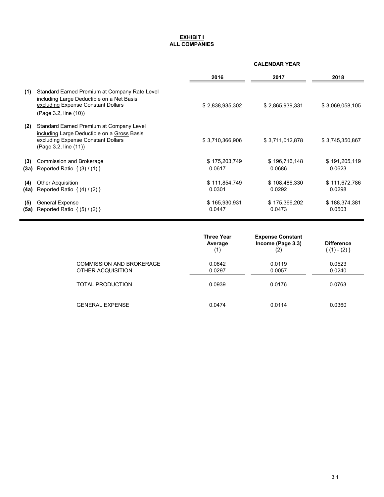#### <u>EXHIBIT I</u> ALL COMPANIES

## CALENDAR YEAR

|      |                                                                                                                                                           | 2016            | 2017            | 2018            |
|------|-----------------------------------------------------------------------------------------------------------------------------------------------------------|-----------------|-----------------|-----------------|
| (1)  | Standard Earned Premium at Company Rate Level<br>including Large Deductible on a Net Basis<br>excluding Expense Constant Dollars<br>(Page 3.2, line (10)) | \$2,838,935,302 | \$2,865,939,331 | \$3,069,058,105 |
| (2)  | Standard Earned Premium at Company Level<br>including Large Deductible on a Gross Basis<br>excluding Expense Constant Dollars<br>(Page 3.2, line (11))    | \$3,710,366,906 | \$3,711,012,878 | \$3,745,350,867 |
| (3)  | Commission and Brokerage                                                                                                                                  | \$175,203,749   | \$196,716,148   | \$191,205,119   |
| (3a) | Reported Ratio $\{(3) / (1)\}\$                                                                                                                           | 0.0617          | 0.0686          | 0.0623          |
| (4)  | <b>Other Acquisition</b>                                                                                                                                  | \$111,854,749   | \$108,486,330   | \$111,672,786   |
|      | <b>(4a)</b> Reported Ratio $\{(4) / (2)\}\$                                                                                                               | 0.0301          | 0.0292          | 0.0298          |
| (5)  | <b>General Expense</b>                                                                                                                                    | \$165,930,931   | \$175,366,202   | \$188,374,381   |
| (5a) | Reported Ratio $\{(5) / (2)\}\$                                                                                                                           | 0.0447          | 0.0473          | 0.0503          |

|                                                      | <b>Three Year</b><br>Average<br>(1) | <b>Expense Constant</b><br>Income (Page 3.3)<br>(2) | <b>Difference</b><br>$\{(1) - (2)\}\$ |
|------------------------------------------------------|-------------------------------------|-----------------------------------------------------|---------------------------------------|
| <b>COMMISSION AND BROKERAGE</b><br>OTHER ACQUISITION | 0.0642<br>0.0297                    | 0.0119<br>0.0057                                    | 0.0523<br>0.0240                      |
| <b>TOTAL PRODUCTION</b>                              | 0.0939                              | 0.0176                                              | 0.0763                                |
| <b>GENERAL EXPENSE</b>                               | 0.0474                              | 0.0114                                              | 0.0360                                |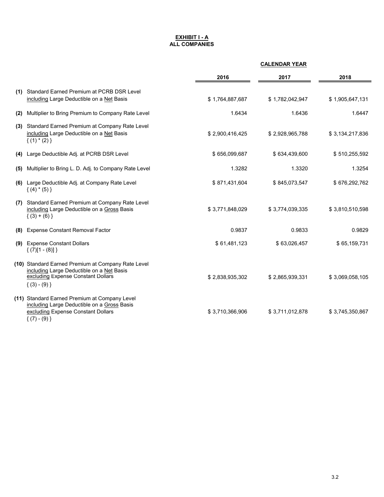#### <u>EXHIBIT I - A</u> ALL COMPANIES

|     |                                                                                                                                                           | <b>CALENDAR YEAR</b> |                 |                 |
|-----|-----------------------------------------------------------------------------------------------------------------------------------------------------------|----------------------|-----------------|-----------------|
|     |                                                                                                                                                           | 2016                 | 2017            | 2018            |
| (1) | <b>Standard Earned Premium at PCRB DSR Level</b><br>including Large Deductible on a Net Basis                                                             | \$1,764,887,687      | \$1,782,042,947 | \$1,905,647,131 |
| (2) | Multiplier to Bring Premium to Company Rate Level                                                                                                         | 1.6434               | 1.6436          | 1.6447          |
| (3) | Standard Earned Premium at Company Rate Level<br>including Large Deductible on a Net Basis<br>$\{(1) * (2)\}\$                                            | \$2,900,416,425      | \$2,928,965,788 | \$3,134,217,836 |
| (4) | Large Deductible Adj. at PCRB DSR Level                                                                                                                   | \$656,099,687        | \$634,439,600   | \$510,255,592   |
| (5) | Multiplier to Bring L. D. Adj. to Company Rate Level                                                                                                      | 1.3282               | 1.3320          | 1.3254          |
| (6) | Large Deductible Adj. at Company Rate Level<br>$\{(4) * (5)\}\$                                                                                           | \$871,431,604        | \$845,073,547   | \$676,292,762   |
| (7) | Standard Earned Premium at Company Rate Level<br>including Large Deductible on a Gross Basis<br>$(3) + (6)$                                               | \$3,771,848,029      | \$3,774,039,335 | \$3,810,510,598 |
| (8) | <b>Expense Constant Removal Factor</b>                                                                                                                    | 0.9837               | 0.9833          | 0.9829          |
|     | (9) Expense Constant Dollars<br>$\{(7)[1 - (8)]\}$                                                                                                        | \$61,481,123         | \$63,026,457    | \$65,159,731    |
|     | (10) Standard Earned Premium at Company Rate Level<br>including Large Deductible on a Net Basis<br>excluding Expense Constant Dollars<br>$\{(3) - (9)\}\$ | \$2,838,935,302      | \$2,865,939,331 | \$3,069,058,105 |
|     | (11) Standard Earned Premium at Company Level<br>including Large Deductible on a Gross Basis<br>excluding Expense Constant Dollars<br>$\{(7) - (9)\}\$    | \$3,710,366,906      | \$3,711,012,878 | \$3,745,350,867 |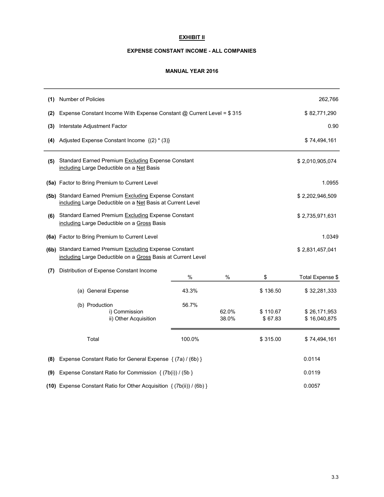## EXHIBIT II

#### EXPENSE CONSTANT INCOME - ALL COMPANIES

#### MANUAL YEAR 2016

| (1) | <b>Number of Policies</b>                                                                                                                  |              |   |          | 262,766                      |
|-----|--------------------------------------------------------------------------------------------------------------------------------------------|--------------|---|----------|------------------------------|
| (2) | Expense Constant Income With Expense Constant @ Current Level = \$315                                                                      | \$82,771,290 |   |          |                              |
| (3) | Interstate Adjustment Factor                                                                                                               |              |   |          | 0.90                         |
| (4) | Adjusted Expense Constant Income {(2) * (3)}                                                                                               |              |   |          | \$74,494,161                 |
| (5) | Standard Earned Premium Excluding Expense Constant<br>including Large Deductible on a Net Basis                                            |              |   |          | \$2,010,905,074              |
|     | (5a) Factor to Bring Premium to Current Level                                                                                              |              |   |          | 1.0955                       |
|     | (5b) Standard Earned Premium Excluding Expense Constant<br>including Large Deductible on a Net Basis at Current Level                      |              |   |          | \$2,202,946,509              |
| (6) | Standard Earned Premium Excluding Expense Constant<br>\$2,735,971,631<br>including Large Deductible on a Gross Basis                       |              |   |          |                              |
|     | (6a) Factor to Bring Premium to Current Level                                                                                              |              |   |          | 1.0349                       |
|     | (6b) Standard Earned Premium Excluding Expense Constant<br>\$2,831,457,041<br>including Large Deductible on a Gross Basis at Current Level |              |   |          |                              |
| (7) | Distribution of Expense Constant Income                                                                                                    | %            | % | \$       | Total Expense \$             |
|     | (a) General Expense                                                                                                                        | 43.3%        |   | \$136.50 | \$32,281,333                 |
|     | 56.7%<br>(b) Production<br>62.0%<br>i) Commission<br>ii) Other Acquisition<br>38.0%                                                        |              |   |          | \$26,171,953<br>\$16,040,875 |
|     | Total                                                                                                                                      | 100.0%       |   | \$315.00 | \$74,494,161                 |
| (8) | Expense Constant Ratio for General Expense { (7a) / (6b) }                                                                                 |              |   |          | 0.0114                       |
| (9) | Expense Constant Ratio for Commission { (7b(i)) / (5b }                                                                                    |              |   |          | 0.0119                       |
|     | (10) Expense Constant Ratio for Other Acquisition { (7b(ii)) / (6b) }                                                                      | 0.0057       |   |          |                              |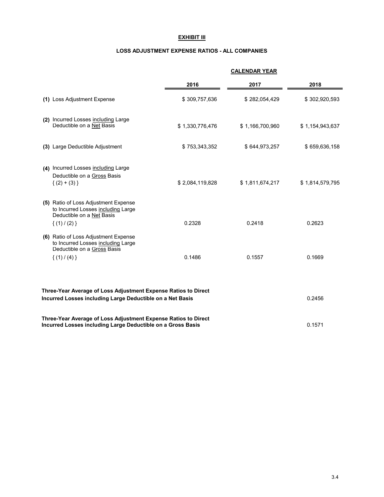## EXHIBIT III

#### LOSS ADJUSTMENT EXPENSE RATIOS - ALL COMPANIES

|                                                                                                                                         |                 | <b>CALENDAR YEAR</b> |                 |  |
|-----------------------------------------------------------------------------------------------------------------------------------------|-----------------|----------------------|-----------------|--|
|                                                                                                                                         | 2016            | 2017                 | 2018            |  |
| (1) Loss Adjustment Expense                                                                                                             | \$309,757,636   | \$282,054,429        | \$302,920,593   |  |
| (2) Incurred Losses including Large<br>Deductible on a Net Basis                                                                        | \$1,330,776,476 | \$1,166,700,960      | \$1,154,943,637 |  |
| (3) Large Deductible Adjustment                                                                                                         | \$753,343,352   | \$644,973,257        | \$659,636,158   |  |
| (4) Incurred Losses including Large<br>Deductible on a Gross Basis<br>$\{(2)+(3)\}$                                                     | \$2,084,119,828 | \$1,811,674,217      | \$1,814,579,795 |  |
| (5) Ratio of Loss Adjustment Expense<br>to Incurred Losses including Large<br>Deductible on a Net Basis<br>$\{(1)/ (2)\}\$              | 0.2328          | 0.2418               | 0.2623          |  |
| (6) Ratio of Loss Adjustment Expense<br>to Incurred Losses including Large<br>Deductible on a Gross Basis<br>$\{(1) / (4)\}\$           | 0.1486          | 0.1557               | 0.1669          |  |
| Three-Year Average of Loss Adjustment Expense Ratios to Direct<br>Incurred Losses including Large Deductible on a Net Basis<br>0.2456   |                 |                      |                 |  |
| Three-Year Average of Loss Adjustment Expense Ratios to Direct<br>Incurred Losses including Large Deductible on a Gross Basis<br>0.1571 |                 |                      |                 |  |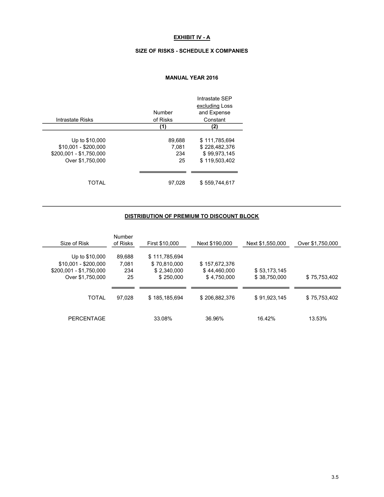## EXHIBIT IV - A

#### SIZE OF RISKS - SCHEDULE X COMPANIES

## MANUAL YEAR 2016

|                         |          | Intrastate SEP |
|-------------------------|----------|----------------|
|                         |          | excluding Loss |
|                         | Number   | and Expense    |
| Intrastate Risks        | of Risks | Constant       |
|                         | (1)      | (2)            |
|                         |          |                |
| Up to \$10,000          | 89.688   | \$111.785.694  |
| $$10,001 - $200,000$    | 7.081    | \$228,482,376  |
| \$200,001 - \$1,750,000 | 234      | \$99.973.145   |
| Over \$1,750,000        | 25       | \$119.503.402  |
|                         |          |                |
| TOTAL                   | 97.028   | \$559.744.617  |

## DISTRIBUTION OF PREMIUM TO DISCOUNT BLOCK

| Size of Risk                                                                          | Number<br>of Risks           | First \$10,000                                            | Next \$190,000                               | Next \$1,550,000             | Over \$1,750,000 |
|---------------------------------------------------------------------------------------|------------------------------|-----------------------------------------------------------|----------------------------------------------|------------------------------|------------------|
| Up to \$10,000<br>$$10,001 - $200,000$<br>\$200,001 - \$1,750,000<br>Over \$1,750,000 | 89,688<br>7,081<br>234<br>25 | \$111,785,694<br>\$70,810,000<br>\$2,340,000<br>\$250,000 | \$157.672.376<br>\$44,460,000<br>\$4,750,000 | \$53,173,145<br>\$38.750.000 | \$75.753.402     |
| <b>TOTAL</b>                                                                          | 97.028                       | \$185,185,694                                             | \$206,882,376                                | \$91,923,145                 | \$75,753,402     |
| <b>PERCENTAGE</b>                                                                     |                              | 33.08%                                                    | 36.96%                                       | 16.42%                       | 13.53%           |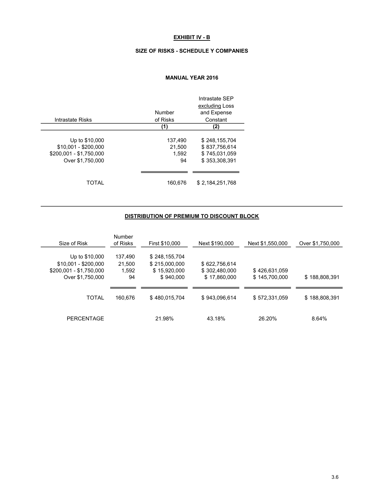## EXHIBIT IV - B

#### SIZE OF RISKS - SCHEDULE Y COMPANIES

## MANUAL YEAR 2016

|                         |          | Intrastate SFP  |
|-------------------------|----------|-----------------|
|                         |          | excluding Loss  |
|                         | Number   | and Expense     |
| Intrastate Risks        | of Risks | Constant        |
|                         | (1)      | (2)             |
|                         |          |                 |
| Up to \$10,000          | 137,490  | \$248,155,704   |
| \$10,001 - \$200,000    | 21.500   | \$837.756.614   |
| \$200,001 - \$1,750,000 | 1.592    | \$745.031.059   |
| Over \$1,750,000        | 94       | \$353.308.391   |
|                         |          |                 |
| TOTAL                   | 160,676  | \$2.184.251.768 |

## DISTRIBUTION OF PREMIUM TO DISCOUNT BLOCK

| Size of Risk                                                                          | Number<br>of Risks               | First \$10,000                                              | Next \$190,000                                 | Next \$1,550,000               | Over \$1,750,000 |
|---------------------------------------------------------------------------------------|----------------------------------|-------------------------------------------------------------|------------------------------------------------|--------------------------------|------------------|
| Up to \$10,000<br>$$10,001 - $200,000$<br>\$200,001 - \$1,750,000<br>Over \$1,750,000 | 137.490<br>21.500<br>1,592<br>94 | \$248,155,704<br>\$215,000,000<br>\$15,920,000<br>\$940,000 | \$622,756,614<br>\$302,480,000<br>\$17,860,000 | \$426,631,059<br>\$145,700,000 | \$188,808,391    |
| TOTAL                                                                                 | 160.676                          | \$480,015,704                                               | \$943,096,614                                  | \$572,331,059                  | \$188,808,391    |
| <b>PERCENTAGE</b>                                                                     |                                  | 21.98%                                                      | 43.18%                                         | 26.20%                         | 8.64%            |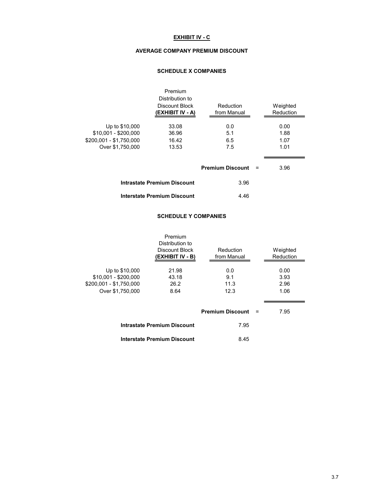## EXHIBIT IV - C

#### AVERAGE COMPANY PREMIUM DISCOUNT

## SCHEDULE X COMPANIES

|                                                                                       | Premium<br>Distribution to<br>Discount Block<br>(EXHIBIT IV - A) | Reduction<br>from Manual |     | Weighted<br>Reduction        |
|---------------------------------------------------------------------------------------|------------------------------------------------------------------|--------------------------|-----|------------------------------|
| Up to \$10,000<br>\$10.001 - \$200.000<br>\$200,001 - \$1,750,000<br>Over \$1,750,000 | 33.08<br>36.96<br>16.42<br>13.53                                 | 0.0<br>5.1<br>6.5<br>7.5 |     | 0.00<br>1.88<br>1.07<br>1.01 |
|                                                                                       |                                                                  | <b>Premium Discount</b>  | $=$ | 3.96                         |
|                                                                                       | <b>Intrastate Premium Discount</b>                               | 3.96                     |     |                              |
|                                                                                       | <b>Interstate Premium Discount</b>                               | 4.46                     |     |                              |

#### SCHEDULE Y COMPANIES

|                                                                                       | Premium<br>Distribution to<br>Discount Block<br>(EXHIBIT IV - B) | Reduction<br>from Manual   |     | Weighted<br>Reduction        |
|---------------------------------------------------------------------------------------|------------------------------------------------------------------|----------------------------|-----|------------------------------|
| Up to \$10,000<br>\$10,001 - \$200,000<br>\$200,001 - \$1,750,000<br>Over \$1,750,000 | 21.98<br>43.18<br>26.2<br>8.64                                   | 0.0<br>9.1<br>11.3<br>12.3 |     | 0.00<br>3.93<br>2.96<br>1.06 |
|                                                                                       |                                                                  | <b>Premium Discount</b>    | $=$ | 7.95                         |
|                                                                                       | Intrastate Premium Discount                                      | 7.95                       |     |                              |
|                                                                                       | Interstate Premium Discount                                      | 8.45                       |     |                              |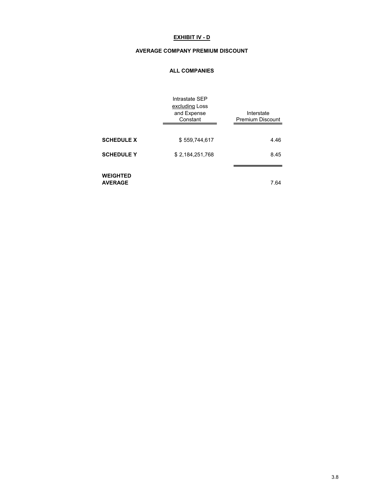## EXHIBIT IV - D

#### AVERAGE COMPANY PREMIUM DISCOUNT

#### ALL COMPANIES

|                                   | Intrastate SEP<br>excluding Loss<br>and Expense<br>Constant | Interstate<br><b>Premium Discount</b> |
|-----------------------------------|-------------------------------------------------------------|---------------------------------------|
| <b>SCHEDULE X</b>                 | \$559,744,617                                               | 4.46                                  |
| <b>SCHEDULE Y</b>                 | \$2,184,251,768                                             | 8.45                                  |
| <b>WEIGHTED</b><br><b>AVERAGE</b> |                                                             | 7.64                                  |